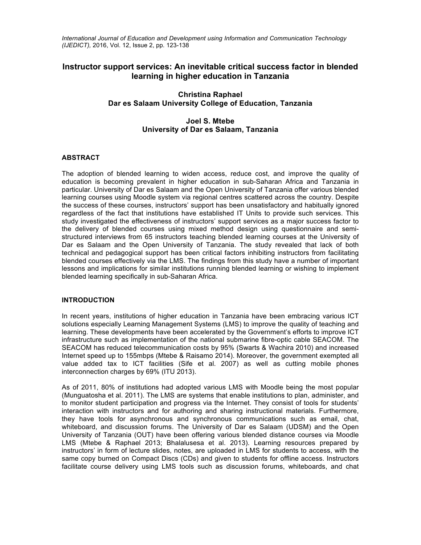*International Journal of Education and Development using Information and Communication Technology (IJEDICT),* 2016, Vol. 12, Issue 2, pp. 123-138

# **Instructor support services: An inevitable critical success factor in blended learning in higher education in Tanzania**

## **Christina Raphael Dar es Salaam University College of Education, Tanzania**

## **Joel S. Mtebe University of Dar es Salaam, Tanzania**

#### **ABSTRACT**

The adoption of blended learning to widen access, reduce cost, and improve the quality of education is becoming prevalent in higher education in sub-Saharan Africa and Tanzania in particular. University of Dar es Salaam and the Open University of Tanzania offer various blended learning courses using Moodle system via regional centres scattered across the country. Despite the success of these courses, instructors' support has been unsatisfactory and habitually ignored regardless of the fact that institutions have established IT Units to provide such services. This study investigated the effectiveness of instructors' support services as a major success factor to the delivery of blended courses using mixed method design using questionnaire and semistructured interviews from 65 instructors teaching blended learning courses at the University of Dar es Salaam and the Open University of Tanzania. The study revealed that lack of both technical and pedagogical support has been critical factors inhibiting instructors from facilitating blended courses effectively via the LMS. The findings from this study have a number of important lessons and implications for similar institutions running blended learning or wishing to implement blended learning specifically in sub-Saharan Africa.

#### **INTRODUCTION**

In recent years, institutions of higher education in Tanzania have been embracing various ICT solutions especially Learning Management Systems (LMS) to improve the quality of teaching and learning. These developments have been accelerated by the Government's efforts to improve ICT infrastructure such as implementation of the national submarine fibre-optic cable SEACOM. The SEACOM has reduced telecommunication costs by 95% (Swarts & Wachira 2010) and increased Internet speed up to 155mbps (Mtebe & Raisamo 2014). Moreover, the government exempted all value added tax to ICT facilities (Sife et al. 2007) as well as cutting mobile phones interconnection charges by 69% (ITU 2013).

As of 2011, 80% of institutions had adopted various LMS with Moodle being the most popular (Munguatosha et al. 2011). The LMS are systems that enable institutions to plan, administer, and to monitor student participation and progress via the Internet. They consist of tools for students' interaction with instructors and for authoring and sharing instructional materials. Furthermore, they have tools for asynchronous and synchronous communications such as email, chat, whiteboard, and discussion forums. The University of Dar es Salaam (UDSM) and the Open University of Tanzania (OUT) have been offering various blended distance courses via Moodle LMS (Mtebe & Raphael 2013; Bhalalusesa et al. 2013). Learning resources prepared by instructors' in form of lecture slides, notes, are uploaded in LMS for students to access, with the same copy burned on Compact Discs (CDs) and given to students for offline access. Instructors facilitate course delivery using LMS tools such as discussion forums, whiteboards, and chat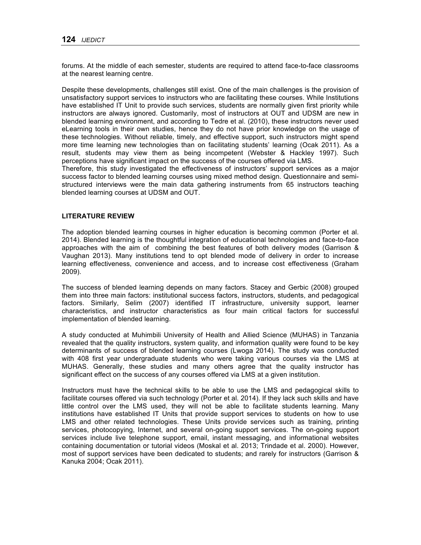forums. At the middle of each semester, students are required to attend face-to-face classrooms at the nearest learning centre.

Despite these developments, challenges still exist. One of the main challenges is the provision of unsatisfactory support services to instructors who are facilitating these courses. While Institutions have established IT Unit to provide such services, students are normally given first priority while instructors are always ignored. Customarily, most of instructors at OUT and UDSM are new in blended learning environment, and according to Tedre et al. (2010), these instructors never used eLearning tools in their own studies, hence they do not have prior knowledge on the usage of these technologies. Without reliable, timely, and effective support, such instructors might spend more time learning new technologies than on facilitating students' learning (Ocak 2011). As a result, students may view them as being incompetent (Webster & Hackley 1997). Such perceptions have significant impact on the success of the courses offered via LMS.

Therefore, this study investigated the effectiveness of instructors' support services as a major success factor to blended learning courses using mixed method design. Questionnaire and semistructured interviews were the main data gathering instruments from 65 instructors teaching blended learning courses at UDSM and OUT.

## **LITERATURE REVIEW**

The adoption blended learning courses in higher education is becoming common (Porter et al. 2014). Blended learning is the thoughtful integration of educational technologies and face-to-face approaches with the aim of combining the best features of both delivery modes (Garrison & Vaughan 2013). Many institutions tend to opt blended mode of delivery in order to increase learning effectiveness, convenience and access, and to increase cost effectiveness (Graham 2009).

The success of blended learning depends on many factors. Stacey and Gerbic (2008) grouped them into three main factors: institutional success factors, instructors, students, and pedagogical factors. Similarly, Selim (2007) identified IT infrastructure, university support, learner characteristics, and instructor characteristics as four main critical factors for successful implementation of blended learning.

A study conducted at Muhimbili University of Health and Allied Science (MUHAS) in Tanzania revealed that the quality instructors, system quality, and information quality were found to be key determinants of success of blended learning courses (Lwoga 2014). The study was conducted with 408 first year undergraduate students who were taking various courses via the LMS at MUHAS. Generally, these studies and many others agree that the quality instructor has significant effect on the success of any courses offered via LMS at a given institution.

Instructors must have the technical skills to be able to use the LMS and pedagogical skills to facilitate courses offered via such technology (Porter et al. 2014). If they lack such skills and have little control over the LMS used, they will not be able to facilitate students learning. Many institutions have established IT Units that provide support services to students on how to use LMS and other related technologies. These Units provide services such as training, printing services, photocopying, Internet, and several on-going support services. The on-going support services include live telephone support, email, instant messaging, and informational websites containing documentation or tutorial videos (Moskal et al. 2013; Trindade et al. 2000). However, most of support services have been dedicated to students; and rarely for instructors (Garrison & Kanuka 2004; Ocak 2011).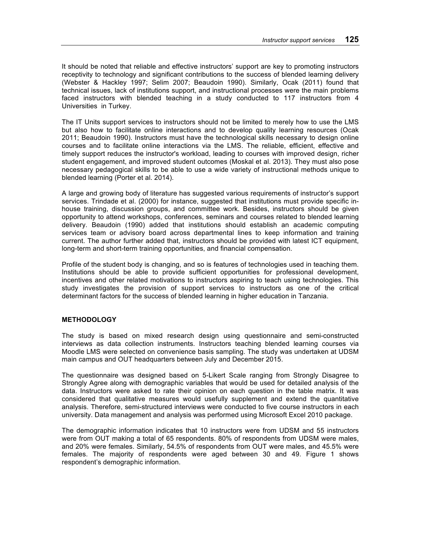It should be noted that reliable and effective instructors' support are key to promoting instructors receptivity to technology and significant contributions to the success of blended learning delivery (Webster & Hackley 1997; Selim 2007; Beaudoin 1990). Similarly, Ocak (2011) found that technical issues, lack of institutions support, and instructional processes were the main problems faced instructors with blended teaching in a study conducted to 117 instructors from 4 Universities in Turkey.

The IT Units support services to instructors should not be limited to merely how to use the LMS but also how to facilitate online interactions and to develop quality learning resources (Ocak 2011; Beaudoin 1990). Instructors must have the technological skills necessary to design online courses and to facilitate online interactions via the LMS. The reliable, efficient, effective and timely support reduces the instructor's workload, leading to courses with improved design, richer student engagement, and improved student outcomes (Moskal et al. 2013). They must also pose necessary pedagogical skills to be able to use a wide variety of instructional methods unique to blended learning (Porter et al. 2014).

A large and growing body of literature has suggested various requirements of instructor's support services. Trindade et al. (2000) for instance, suggested that institutions must provide specific inhouse training, discussion groups, and committee work. Besides, instructors should be given opportunity to attend workshops, conferences, seminars and courses related to blended learning delivery. Beaudoin (1990) added that institutions should establish an academic computing services team or advisory board across departmental lines to keep information and training current. The author further added that, instructors should be provided with latest ICT equipment, long-term and short-term training opportunities, and financial compensation.

Profile of the student body is changing, and so is features of technologies used in teaching them. Institutions should be able to provide sufficient opportunities for professional development, incentives and other related motivations to instructors aspiring to teach using technologies. This study investigates the provision of support services to instructors as one of the critical determinant factors for the success of blended learning in higher education in Tanzania.

### **METHODOLOGY**

The study is based on mixed research design using questionnaire and semi-constructed interviews as data collection instruments. Instructors teaching blended learning courses via Moodle LMS were selected on convenience basis sampling. The study was undertaken at UDSM main campus and OUT headquarters between July and December 2015.

The questionnaire was designed based on 5-Likert Scale ranging from Strongly Disagree to Strongly Agree along with demographic variables that would be used for detailed analysis of the data. Instructors were asked to rate their opinion on each question in the table matrix. It was considered that qualitative measures would usefully supplement and extend the quantitative analysis. Therefore, semi-structured interviews were conducted to five course instructors in each university. Data management and analysis was performed using Microsoft Excel 2010 package.

The demographic information indicates that 10 instructors were from UDSM and 55 instructors were from OUT making a total of 65 respondents. 80% of respondents from UDSM were males, and 20% were females. Similarly, 54.5% of respondents from OUT were males, and 45.5% were females. The majority of respondents were aged between 30 and 49. Figure 1 shows respondent's demographic information.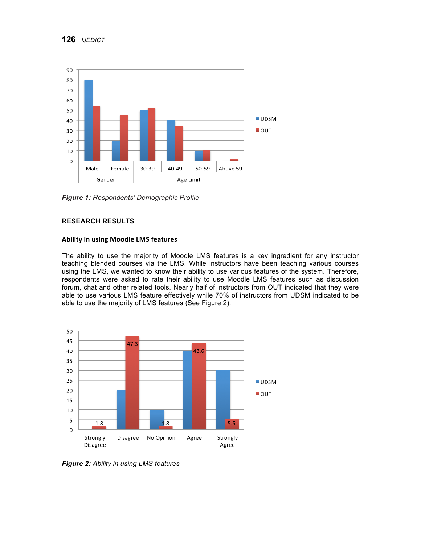

*Figure 1: Respondents' Demographic Profile*

## **RESEARCH RESULTS**

### **Ability in using Moodle LMS features**

The ability to use the majority of Moodle LMS features is a key ingredient for any instructor teaching blended courses via the LMS. While instructors have been teaching various courses using the LMS, we wanted to know their ability to use various features of the system. Therefore, respondents were asked to rate their ability to use Moodle LMS features such as discussion forum, chat and other related tools. Nearly half of instructors from OUT indicated that they were able to use various LMS feature effectively while 70% of instructors from UDSM indicated to be able to use the majority of LMS features (See Figure 2).



*Figure 2: Ability in using LMS features*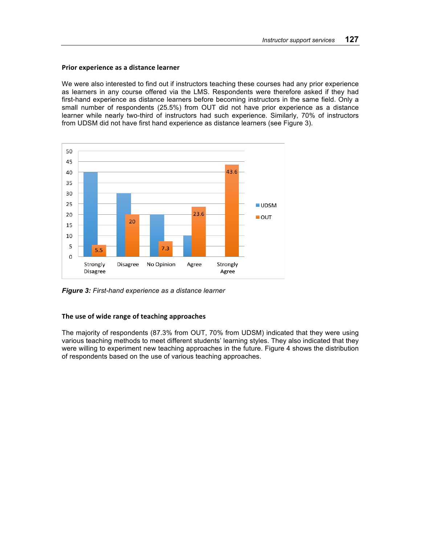#### **Prior experience as a distance learner**

We were also interested to find out if instructors teaching these courses had any prior experience as learners in any course offered via the LMS. Respondents were therefore asked if they had first-hand experience as distance learners before becoming instructors in the same field. Only a small number of respondents (25.5%) from OUT did not have prior experience as a distance learner while nearly two-third of instructors had such experience. Similarly, 70% of instructors from UDSM did not have first hand experience as distance learners (see Figure 3).



*Figure 3: First-hand experience as a distance learner*

### The use of wide range of teaching approaches

The majority of respondents (87.3% from OUT, 70% from UDSM) indicated that they were using various teaching methods to meet different students' learning styles. They also indicated that they were willing to experiment new teaching approaches in the future. Figure 4 shows the distribution of respondents based on the use of various teaching approaches.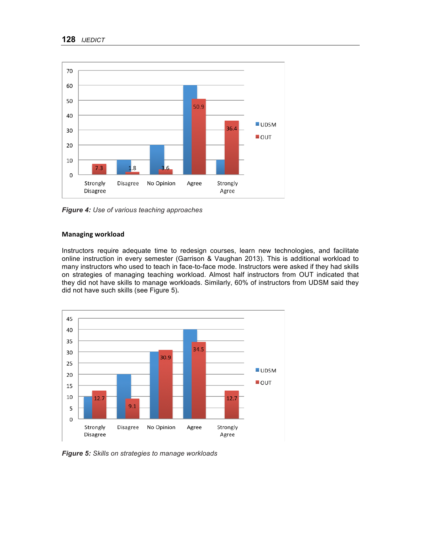

*Figure 4: Use of various teaching approaches*

#### **Managing workload**

Instructors require adequate time to redesign courses, learn new technologies, and facilitate online instruction in every semester (Garrison & Vaughan 2013). This is additional workload to many instructors who used to teach in face-to-face mode. Instructors were asked if they had skills on strategies of managing teaching workload. Almost half instructors from OUT indicated that they did not have skills to manage workloads. Similarly, 60% of instructors from UDSM said they did not have such skills (see Figure 5)**.**



*Figure 5: Skills on strategies to manage workloads*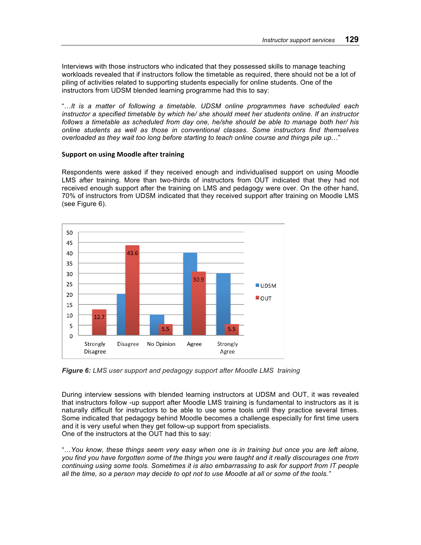Interviews with those instructors who indicated that they possessed skills to manage teaching workloads revealed that if instructors follow the timetable as required, there should not be a lot of piling of activities related to supporting students especially for online students. One of the instructors from UDSM blended learning programme had this to say:

"…*It is a matter of following a timetable. UDSM online programmes have scheduled each instructor a specified timetable by which he/ she should meet her students online. If an instructor follows a timetable as scheduled from day one, he/she should be able to manage both her/ his online students as well as those in conventional classes. Some instructors find themselves overloaded as they wait too long before starting to teach online course and things pile up*…"

#### **Support on using Moodle after training**

Respondents were asked if they received enough and individualised support on using Moodle LMS after training. More than two-thirds of instructors from OUT indicated that they had not received enough support after the training on LMS and pedagogy were over. On the other hand, 70% of instructors from UDSM indicated that they received support after training on Moodle LMS (see Figure 6).



*Figure 6: LMS user support and pedagogy support after Moodle LMS training* 

During interview sessions with blended learning instructors at UDSM and OUT, it was revealed that instructors follow -up support after Moodle LMS training is fundamental to instructors as it is naturally difficult for instructors to be able to use some tools until they practice several times. Some indicated that pedagogy behind Moodle becomes a challenge especially for first time users and it is very useful when they get follow-up support from specialists. One of the instructors at the OUT had this to say:

"…*You know, these things seem very easy when one is in training but once you are left alone, you find you have forgotten some of the things you were taught and it really discourages one from continuing using some tools. Sometimes it is also embarrassing to ask for support from IT people all the time, so a person may decide to opt not to use Moodle at all or some of the tools."*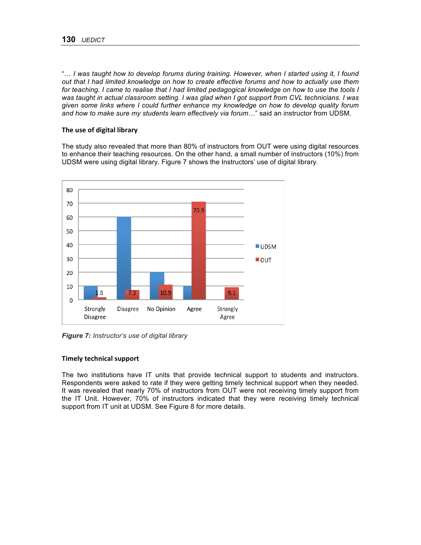"… *I was taught how to develop forums during training. However, when I started using it, I found out that I had limited knowledge on how to create effective forums and how to actually use them for teaching. I came to realise that I had limited pedagogical knowledge on how to use the tools I was taught in actual classroom setting. I was glad when I got support from CVL technicians. I was given some links where I could further enhance my knowledge on how to develop quality forum and how to make sure my students learn effectively via forum*…" said an instructor from UDSM.

## **The use of digital library**

The study also revealed that more than 80% of instructors from OUT were using digital resources to enhance their teaching resources. On the other hand, a small number of instructors (10%) from UDSM were using digital library. Figure 7 shows the Instructors' use of digital library*.* 



*Figure 7: Instructor's use of digital library*

### **Timely technical support**

The two institutions have IT units that provide technical support to students and instructors. Respondents were asked to rate if they were getting timely technical support when they needed. It was revealed that nearly 70% of instructors from OUT were not receiving timely support from the IT Unit. However, 70% of instructors indicated that they were receiving timely technical support from IT unit at UDSM. See Figure 8 for more details.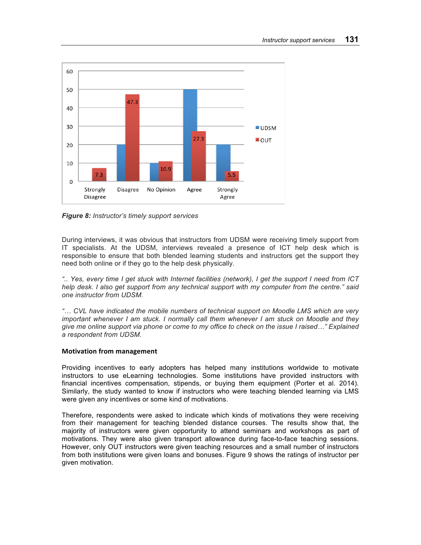

*Figure 8: Instructor's timely support services*

During interviews, it was obvious that instructors from UDSM were receiving timely support from IT specialists. At the UDSM, interviews revealed a presence of ICT help desk which is responsible to ensure that both blended learning students and instructors get the support they need both online or if they go to the help desk physically.

*".. Yes, every time I get stuck with Internet facilities (network), I get the support I need from ICT help desk. I also get support from any technical support with my computer from the centre." said one instructor from UDSM.*

*"… CVL have indicated the mobile numbers of technical support on Moodle LMS which are very important whenever I am stuck. I normally call them whenever I am stuck on Moodle and they give me online support via phone or come to my office to check on the issue I raised…" Explained a respondent from UDSM.*

### **Motivation from management**

Providing incentives to early adopters has helped many institutions worldwide to motivate instructors to use eLearning technologies. Some institutions have provided instructors with financial incentives compensation, stipends, or buying them equipment (Porter et al. 2014). Similarly, the study wanted to know if instructors who were teaching blended learning via LMS were given any incentives or some kind of motivations.

Therefore, respondents were asked to indicate which kinds of motivations they were receiving from their management for teaching blended distance courses. The results show that, the majority of instructors were given opportunity to attend seminars and workshops as part of motivations. They were also given transport allowance during face-to-face teaching sessions. However, only OUT instructors were given teaching resources and a small number of instructors from both institutions were given loans and bonuses. Figure 9 shows the ratings of instructor per given motivation.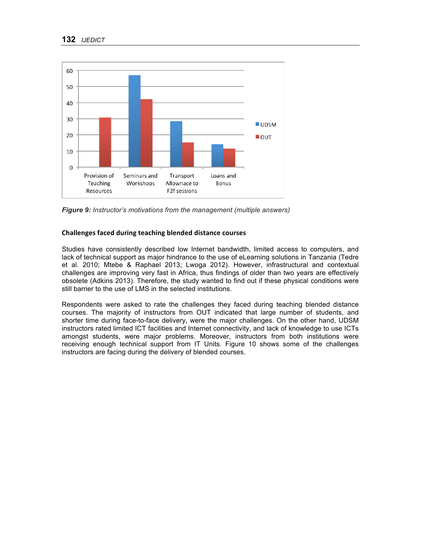

*Figure 9: Instructor's motivations from the management (multiple answers)*

## **Challenges faced during teaching blended distance courses**

Studies have consistently described low Internet bandwidth, limited access to computers, and lack of technical support as major hindrance to the use of eLearning solutions in Tanzania (Tedre et al. 2010; Mtebe & Raphael 2013; Lwoga 2012). However, infrastructural and contextual challenges are improving very fast in Africa, thus findings of older than two years are effectively obsolete (Adkins 2013). Therefore, the study wanted to find out if these physical conditions were still barrier to the use of LMS in the selected institutions.

Respondents were asked to rate the challenges they faced during teaching blended distance courses. The majority of instructors from OUT indicated that large number of students, and shorter time during face-to-face delivery, were the major challenges. On the other hand, UDSM instructors rated limited ICT facilities and Internet connectivity, and lack of knowledge to use ICTs amongst students, were major problems. Moreover, instructors from both institutions were receiving enough technical support from IT Units. Figure 10 shows some of the challenges instructors are facing during the delivery of blended courses.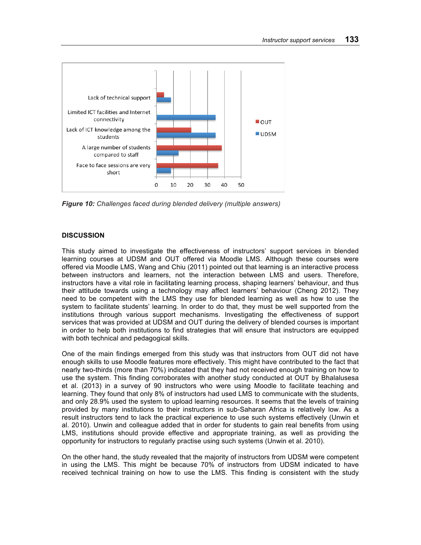

*Figure 10: Challenges faced during blended delivery (multiple answers)*

## **DISCUSSION**

This study aimed to investigate the effectiveness of instructors' support services in blended learning courses at UDSM and OUT offered via Moodle LMS. Although these courses were offered via Moodle LMS, Wang and Chiu (2011) pointed out that learning is an interactive process between instructors and learners, not the interaction between LMS and users. Therefore, instructors have a vital role in facilitating learning process, shaping learners' behaviour, and thus their attitude towards using a technology may affect learners' behaviour (Cheng 2012). They need to be competent with the LMS they use for blended learning as well as how to use the system to facilitate students' learning. In order to do that, they must be well supported from the institutions through various support mechanisms. Investigating the effectiveness of support services that was provided at UDSM and OUT during the delivery of blended courses is important in order to help both institutions to find strategies that will ensure that instructors are equipped with both technical and pedagogical skills.

One of the main findings emerged from this study was that instructors from OUT did not have enough skills to use Moodle features more effectively. This might have contributed to the fact that nearly two-thirds (more than 70%) indicated that they had not received enough training on how to use the system. This finding corroborates with another study conducted at OUT by Bhalalusesa et al. (2013) in a survey of 90 instructors who were using Moodle to facilitate teaching and learning. They found that only 8% of instructors had used LMS to communicate with the students, and only 28.9% used the system to upload learning resources. It seems that the levels of training provided by many institutions to their instructors in sub-Saharan Africa is relatively low. As a result instructors tend to lack the practical experience to use such systems effectively (Unwin et al. 2010). Unwin and colleague added that in order for students to gain real benefits from using LMS, institutions should provide effective and appropriate training, as well as providing the opportunity for instructors to regularly practise using such systems (Unwin et al. 2010).

On the other hand, the study revealed that the majority of instructors from UDSM were competent in using the LMS. This might be because 70% of instructors from UDSM indicated to have received technical training on how to use the LMS. This finding is consistent with the study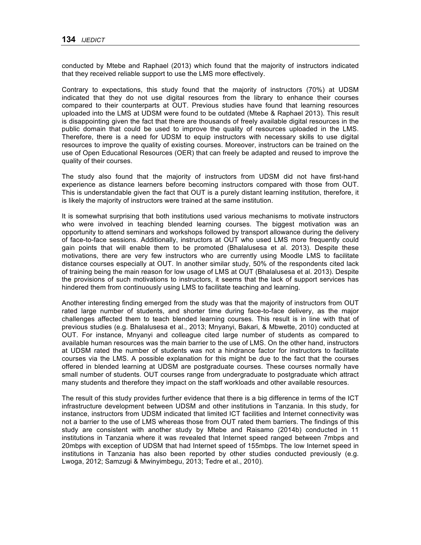conducted by Mtebe and Raphael (2013) which found that the majority of instructors indicated that they received reliable support to use the LMS more effectively.

Contrary to expectations, this study found that the majority of instructors (70%) at UDSM indicated that they do not use digital resources from the library to enhance their courses compared to their counterparts at OUT. Previous studies have found that learning resources uploaded into the LMS at UDSM were found to be outdated (Mtebe & Raphael 2013). This result is disappointing given the fact that there are thousands of freely available digital resources in the public domain that could be used to improve the quality of resources uploaded in the LMS. Therefore, there is a need for UDSM to equip instructors with necessary skills to use digital resources to improve the quality of existing courses. Moreover, instructors can be trained on the use of Open Educational Resources (OER) that can freely be adapted and reused to improve the quality of their courses.

The study also found that the majority of instructors from UDSM did not have first-hand experience as distance learners before becoming instructors compared with those from OUT. This is understandable given the fact that OUT is a purely distant learning institution, therefore, it is likely the majority of instructors were trained at the same institution.

It is somewhat surprising that both institutions used various mechanisms to motivate instructors who were involved in teaching blended learning courses. The biggest motivation was an opportunity to attend seminars and workshops followed by transport allowance during the delivery of face-to-face sessions. Additionally, instructors at OUT who used LMS more frequently could gain points that will enable them to be promoted (Bhalalusesa et al. 2013). Despite these motivations, there are very few instructors who are currently using Moodle LMS to facilitate distance courses especially at OUT. In another similar study, 50% of the respondents cited lack of training being the main reason for low usage of LMS at OUT (Bhalalusesa et al. 2013). Despite the provisions of such motivations to instructors, it seems that the lack of support services has hindered them from continuously using LMS to facilitate teaching and learning.

Another interesting finding emerged from the study was that the majority of instructors from OUT rated large number of students, and shorter time during face-to-face delivery, as the major challenges affected them to teach blended learning courses. This result is in line with that of previous studies (e.g. Bhalalusesa et al., 2013; Mnyanyi, Bakari, & Mbwette, 2010) conducted at OUT. For instance, Mnyanyi and colleague cited large number of students as compared to available human resources was the main barrier to the use of LMS. On the other hand, instructors at UDSM rated the number of students was not a hindrance factor for instructors to facilitate courses via the LMS. A possible explanation for this might be due to the fact that the courses offered in blended learning at UDSM are postgraduate courses. These courses normally have small number of students. OUT courses range from undergraduate to postgraduate which attract many students and therefore they impact on the staff workloads and other available resources.

The result of this study provides further evidence that there is a big difference in terms of the ICT infrastructure development between UDSM and other institutions in Tanzania. In this study, for instance, instructors from UDSM indicated that limited ICT facilities and Internet connectivity was not a barrier to the use of LMS whereas those from OUT rated them barriers. The findings of this study are consistent with another study by Mtebe and Raisamo (2014b) conducted in 11 institutions in Tanzania where it was revealed that Internet speed ranged between 7mbps and 20mbps with exception of UDSM that had Internet speed of 155mbps. The low Internet speed in institutions in Tanzania has also been reported by other studies conducted previously (e.g. Lwoga, 2012; Samzugi & Mwinyimbegu, 2013; Tedre et al., 2010).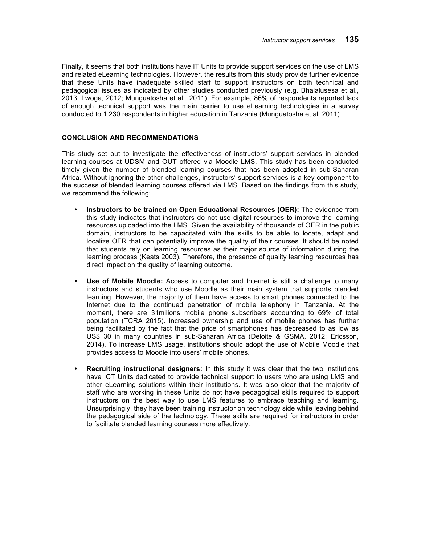Finally, it seems that both institutions have IT Units to provide support services on the use of LMS and related eLearning technologies. However, the results from this study provide further evidence that these Units have inadequate skilled staff to support instructors on both technical and pedagogical issues as indicated by other studies conducted previously (e.g. Bhalalusesa et al., 2013; Lwoga, 2012; Munguatosha et al., 2011). For example, 86% of respondents reported lack of enough technical support was the main barrier to use eLearning technologies in a survey conducted to 1,230 respondents in higher education in Tanzania (Munguatosha et al. 2011).

#### **CONCLUSION AND RECOMMENDATIONS**

This study set out to investigate the effectiveness of instructors' support services in blended learning courses at UDSM and OUT offered via Moodle LMS. This study has been conducted timely given the number of blended learning courses that has been adopted in sub-Saharan Africa. Without ignoring the other challenges, instructors' support services is a key component to the success of blended learning courses offered via LMS. Based on the findings from this study, we recommend the following:

- **Instructors to be trained on Open Educational Resources (OER):** The evidence from this study indicates that instructors do not use digital resources to improve the learning resources uploaded into the LMS. Given the availability of thousands of OER in the public domain, instructors to be capacitated with the skills to be able to locate, adapt and localize OER that can potentially improve the quality of their courses. It should be noted that students rely on learning resources as their major source of information during the learning process (Keats 2003). Therefore, the presence of quality learning resources has direct impact on the quality of learning outcome.
- **Use of Mobile Moodle:** Access to computer and Internet is still a challenge to many instructors and students who use Moodle as their main system that supports blended learning. However, the majority of them have access to smart phones connected to the Internet due to the continued penetration of mobile telephony in Tanzania. At the moment, there are 31milions mobile phone subscribers accounting to 69% of total population (TCRA 2015). Increased ownership and use of mobile phones has further being facilitated by the fact that the price of smartphones has decreased to as low as US\$ 30 in many countries in sub-Saharan Africa (Deloite & GSMA, 2012; Ericsson, 2014). To increase LMS usage, institutions should adopt the use of Mobile Moodle that provides access to Moodle into users' mobile phones.
- **Recruiting instructional designers:** In this study it was clear that the two institutions have ICT Units dedicated to provide technical support to users who are using LMS and other eLearning solutions within their institutions. It was also clear that the majority of staff who are working in these Units do not have pedagogical skills required to support instructors on the best way to use LMS features to embrace teaching and learning. Unsurprisingly, they have been training instructor on technology side while leaving behind the pedagogical side of the technology. These skills are required for instructors in order to facilitate blended learning courses more effectively.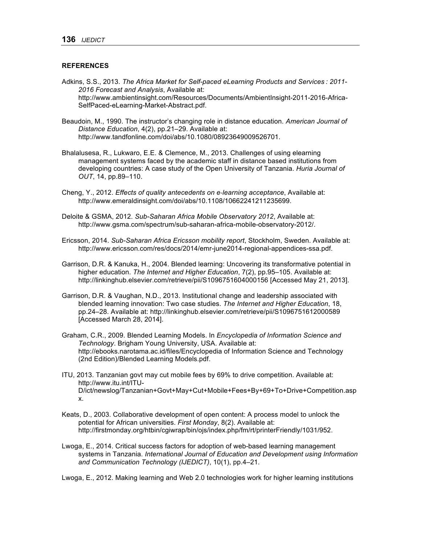#### **REFERENCES**

- Adkins, S.S., 2013. *The Africa Market for Self-paced eLearning Products and Services : 2011- 2016 Forecast and Analysis*, Available at: http://www.ambientinsight.com/Resources/Documents/AmbientInsight-2011-2016-Africa-SelfPaced-eLearning-Market-Abstract.pdf.
- Beaudoin, M., 1990. The instructor's changing role in distance education. *American Journal of Distance Education*, 4(2), pp.21–29. Available at: http://www.tandfonline.com/doi/abs/10.1080/08923649009526701.
- Bhalalusesa, R., Lukwaro, E.E. & Clemence, M., 2013. Challenges of using elearning management systems faced by the academic staff in distance based institutions from developing countries: A case study of the Open University of Tanzania. *Huria Journal of OUT*, 14, pp.89–110.
- Cheng, Y., 2012. *Effects of quality antecedents on e-learning acceptance*, Available at: http://www.emeraldinsight.com/doi/abs/10.1108/10662241211235699.
- Deloite & GSMA, 2012. *Sub-Saharan Africa Mobile Observatory 2012*, Available at: http://www.gsma.com/spectrum/sub-saharan-africa-mobile-observatory-2012/.
- Ericsson, 2014. *Sub-Saharan Africa Ericsson mobility report*, Stockholm, Sweden. Available at: http://www.ericsson.com/res/docs/2014/emr-june2014-regional-appendices-ssa.pdf.
- Garrison, D.R. & Kanuka, H., 2004. Blended learning: Uncovering its transformative potential in higher education. *The Internet and Higher Education*, 7(2), pp.95–105. Available at: http://linkinghub.elsevier.com/retrieve/pii/S1096751604000156 [Accessed May 21, 2013].
- Garrison, D.R. & Vaughan, N.D., 2013. Institutional change and leadership associated with blended learning innovation: Two case studies. *The Internet and Higher Education*, 18, pp.24–28. Available at: http://linkinghub.elsevier.com/retrieve/pii/S1096751612000589 [Accessed March 28, 2014].
- Graham, C.R., 2009. Blended Learning Models. In *Encyclopedia of Information Science and Technology*. Brigham Young University, USA. Available at: http://ebooks.narotama.ac.id/files/Encyclopedia of Information Science and Technology (2nd Edition)/Blended Learning Models.pdf.
- ITU, 2013. Tanzanian govt may cut mobile fees by 69% to drive competition. Available at: http://www.itu.int/ITU-D/ict/newslog/Tanzanian+Govt+May+Cut+Mobile+Fees+By+69+To+Drive+Competition.asp x.
- Keats, D., 2003. Collaborative development of open content: A process model to unlock the potential for African universities. *First Monday*, 8(2). Available at: http://firstmonday.org/htbin/cgiwrap/bin/ojs/index.php/fm/rt/printerFriendly/1031/952.
- Lwoga, E., 2014. Critical success factors for adoption of web-based learning management systems in Tanzania. *International Journal of Education and Development using Information and Communication Technology (IJEDICT)*, 10(1), pp.4–21.

Lwoga, E., 2012. Making learning and Web 2.0 technologies work for higher learning institutions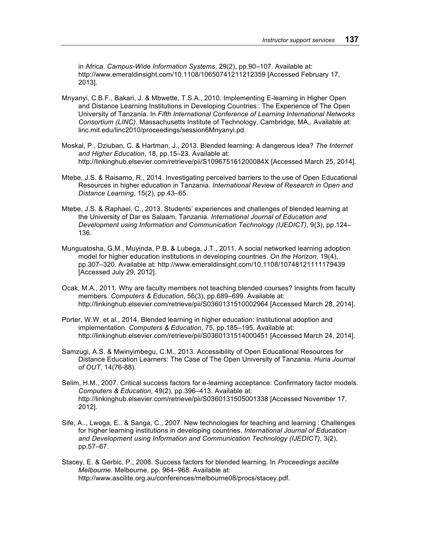in Africa. *Campus-Wide Information Systems*, 29(2), pp.90–107. Available at: http://www.emeraldinsight.com/10.1108/10650741211212359 [Accessed February 17, 2013].

- Mnyanyi, C.B.F., Bakari, J. & Mbwette, T.S.A., 2010. Implementing E-learning in Higher Open and Distance Learning Institutions in Developing Countries : The Experience of The Open University of Tanzania. In *Fifth International Conference of Learning International Networks Consortium (LINC)*. Massachusetts Institute of Technology, Cambridge, MA,. Available at: linc.mit.edu/linc2010/proceedings/session6Mnyanyi.pd.
- Moskal, P., Dziuban, C. & Hartman, J., 2013. Blended learning: A dangerous idea? *The Internet and Higher Education*, 18, pp.15–23. Available at: http://linkinghub.elsevier.com/retrieve/pii/S109675161200084X [Accessed March 25, 2014].
- Mtebe, J.S. & Raisamo, R., 2014. Investigating perceived barriers to the use of Open Educational Resources in higher education in Tanzania. *International Review of Research in Open and Distance Learning*, 15(2), pp.43–65.
- Mtebe, J.S. & Raphael, C., 2013. Students' experiences and challenges of blended learning at the University of Dar es Salaam, Tanzania. *International Journal of Education and Development using Information and Communication Technology (IJEDICT)*, 9(3), pp.124– 136.
- Munguatosha, G.M., Muyinda, P.B. & Lubega, J.T., 2011. A social networked learning adoption model for higher education institutions in developing countries. *On the Horizon*, 19(4), pp.307–320. Available at: http://www.emeraldinsight.com/10.1108/10748121111179439 [Accessed July 29, 2012].
- Ocak, M.A., 2011. Why are faculty members not teaching blended courses? Insights from faculty members. *Computers & Education*, 56(3), pp.689–699. Available at: http://linkinghub.elsevier.com/retrieve/pii/S0360131510002964 [Accessed March 28, 2014].
- Porter, W.W. et al., 2014. Blended learning in higher education: Institutional adoption and implementation. *Computers & Education*, 75, pp.185–195. Available at: http://linkinghub.elsevier.com/retrieve/pii/S0360131514000451 [Accessed March 24, 2014].
- Samzugi, A.S. & Mwinyimbegu, C.M., 2013. Accessibility of Open Educational Resources for Distance Education Learners: The Case of The Open University of Tanzania. *Huria Journal of OUT*, 14(76-88).
- Selim, H.M., 2007. Critical success factors for e-learning acceptance: Confirmatory factor models. *Computers & Education*, 49(2), pp.396–413. Available at: http://linkinghub.elsevier.com/retrieve/pii/S0360131505001338 [Accessed November 17, 2012].
- Sife, A.., Lwoga, E.. & Sanga, C., 2007. New technologies for teaching and learning : Challenges for higher learning institutions in developing countries. *International Journal of Education and Development using Information and Communication Technology (IJEDICT)*, 3(2), pp.57–67.
- Stacey, E. & Gerbic, P., 2008. Success factors for blended learning. In *Proceedings ascilite Melbourne*. Melbourne, pp. 964–968. Available at: http://www.ascilite.org.au/conferences/melbourne08/procs/stacey.pdf.